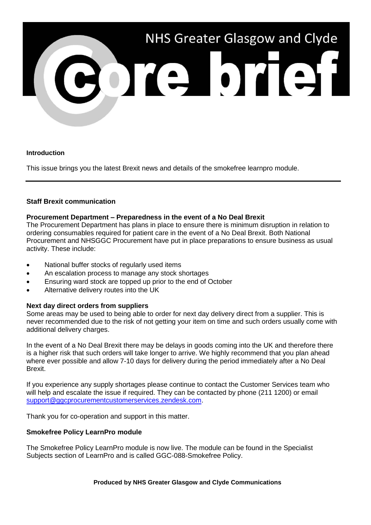

## **Introduction**

This issue brings you the latest Brexit news and details of the smokefree learnpro module.

## **Staff Brexit communication**

## **Procurement Department – Preparedness in the event of a No Deal Brexit**

The Procurement Department has plans in place to ensure there is minimum disruption in relation to ordering consumables required for patient care in the event of a No Deal Brexit. Both National Procurement and NHSGGC Procurement have put in place preparations to ensure business as usual activity. These include:

- National buffer stocks of regularly used items
- An escalation process to manage any stock shortages
- **Ensuring ward stock are topped up prior to the end of October**
- Alternative delivery routes into the UK

# **Next day direct orders from suppliers**

Some areas may be used to being able to order for next day delivery direct from a supplier. This is never recommended due to the risk of not getting your item on time and such orders usually come with additional delivery charges.

In the event of a No Deal Brexit there may be delays in goods coming into the UK and therefore there is a higher risk that such orders will take longer to arrive. We highly recommend that you plan ahead where ever possible and allow 7-10 days for delivery during the period immediately after a No Deal Brexit.

If you experience any supply shortages please continue to contact the Customer Services team who will help and escalate the issue if required. They can be contacted by phone (211 1200) or email [support@ggcprocurementcustomerservices.zendesk.com.](mailto:support@ggcprocurementcustomerservices.zendesk.com)

Thank you for co-operation and support in this matter.

### **Smokefree Policy LearnPro module**

The Smokefree Policy LearnPro module is now live. The module can be found in the Specialist Subjects section of LearnPro and is called GGC-088-Smokefree Policy.